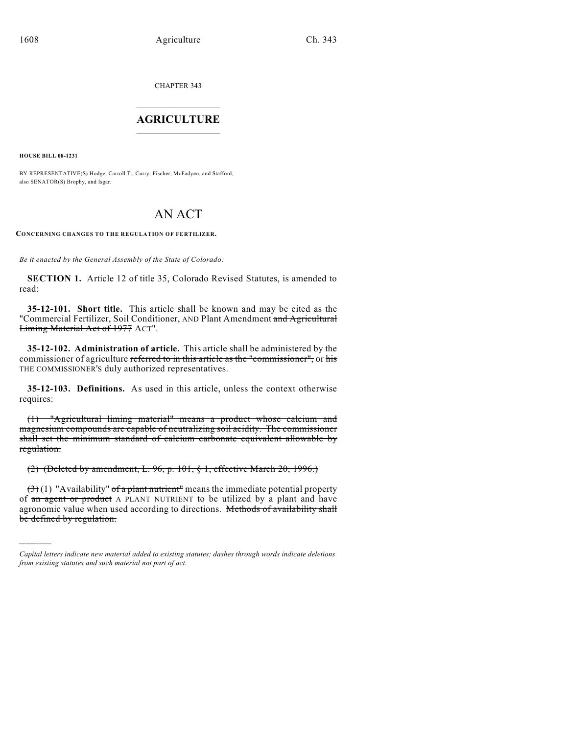CHAPTER 343

# $\mathcal{L}_\text{max}$  . The set of the set of the set of the set of the set of the set of the set of the set of the set of the set of the set of the set of the set of the set of the set of the set of the set of the set of the set **AGRICULTURE**  $\_$   $\_$   $\_$   $\_$   $\_$   $\_$   $\_$   $\_$

**HOUSE BILL 08-1231**

)))))

BY REPRESENTATIVE(S) Hodge, Carroll T., Curry, Fischer, McFadyen, and Stafford; also SENATOR(S) Brophy, and Isgar.

# AN ACT

**CONCERNING CHANGES TO THE REGULATION OF FERTILIZER.**

*Be it enacted by the General Assembly of the State of Colorado:*

**SECTION 1.** Article 12 of title 35, Colorado Revised Statutes, is amended to read:

**35-12-101. Short title.** This article shall be known and may be cited as the "Commercial Fertilizer, Soil Conditioner, AND Plant Amendment and Agricultural Liming Material Act of 1977 ACT".

**35-12-102. Administration of article.** This article shall be administered by the commissioner of agriculture referred to in this article as the "commissioner", or his THE COMMISSIONER'S duly authorized representatives.

**35-12-103. Definitions.** As used in this article, unless the context otherwise requires:

(1) "Agricultural liming material" means a product whose calcium and magnesium compounds are capable of neutralizing soil acidity. The commissioner shall set the minimum standard of calcium carbonate equivalent allowable by regulation.

(2) (Deleted by amendment, L. 96, p. 101, § 1, effective March 20, 1996.)

 $(3)(1)$  "Availability" of a plant nutrient" means the immediate potential property of an agent or product A PLANT NUTRIENT to be utilized by a plant and have agronomic value when used according to directions. Methods of availability shall be defined by regulation.

*Capital letters indicate new material added to existing statutes; dashes through words indicate deletions from existing statutes and such material not part of act.*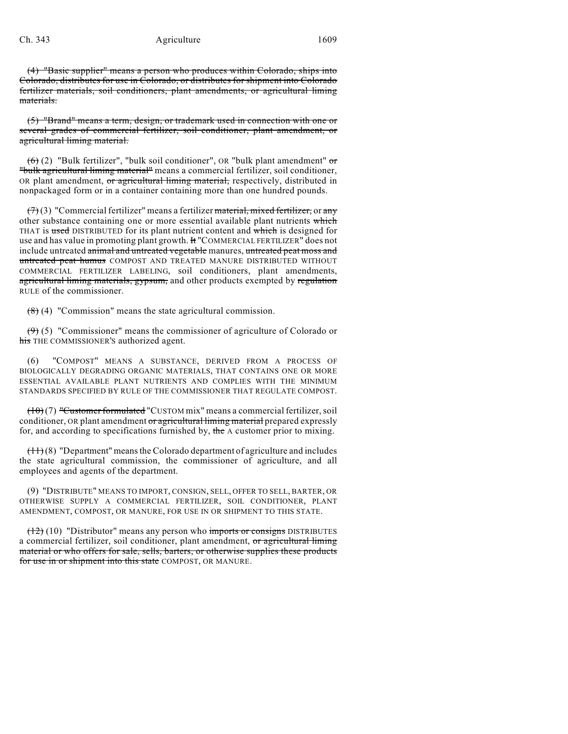(4) "Basic supplier" means a person who produces within Colorado, ships into Colorado, distributes for use in Colorado, or distributes for shipment into Colorado fertilizer materials, soil conditioners, plant amendments, or agricultural liming materials.

(5) "Brand" means a term, design, or trademark used in connection with one or several grades of commercial fertilizer, soil conditioner, plant amendment, or agricultural liming material.

 $(6)$  (2) "Bulk fertilizer", "bulk soil conditioner", OR "bulk plant amendment" or "bulk agricultural liming material" means a commercial fertilizer, soil conditioner, OR plant amendment, or agricultural liming material, respectively, distributed in nonpackaged form or in a container containing more than one hundred pounds.

 $(7)(3)$  "Commercial fertilizer" means a fertilizer material, mixed fertilizer, or any other substance containing one or more essential available plant nutrients which THAT is used DISTRIBUTED for its plant nutrient content and which is designed for use and has value in promoting plant growth. It "COMMERCIAL FERTILIZER" does not include untreated animal and untreated vegetable manures, untreated peat moss and untreated peat humus COMPOST AND TREATED MANURE DISTRIBUTED WITHOUT COMMERCIAL FERTILIZER LABELING, soil conditioners, plant amendments, agricultural liming materials, gypsum, and other products exempted by regulation RULE of the commissioner.

 $(8)$  (4) "Commission" means the state agricultural commission.

 $(9)$  (5) "Commissioner" means the commissioner of agriculture of Colorado or his THE COMMISSIONER'S authorized agent.

(6) "COMPOST" MEANS A SUBSTANCE, DERIVED FROM A PROCESS OF BIOLOGICALLY DEGRADING ORGANIC MATERIALS, THAT CONTAINS ONE OR MORE ESSENTIAL AVAILABLE PLANT NUTRIENTS AND COMPLIES WITH THE MINIMUM STANDARDS SPECIFIED BY RULE OF THE COMMISSIONER THAT REGULATE COMPOST.

 $(10)(7)$  "Customer formulated "CUSTOM mix" means a commercial fertilizer, soil conditioner, OR plant amendment or agricultural liming material prepared expressly for, and according to specifications furnished by, the A customer prior to mixing.

 $(11)(8)$  "Department" means the Colorado department of agriculture and includes the state agricultural commission, the commissioner of agriculture, and all employees and agents of the department.

(9) "DISTRIBUTE" MEANS TO IMPORT, CONSIGN, SELL, OFFER TO SELL, BARTER, OR OTHERWISE SUPPLY A COMMERCIAL FERTILIZER, SOIL CONDITIONER, PLANT AMENDMENT, COMPOST, OR MANURE, FOR USE IN OR SHIPMENT TO THIS STATE.

 $(12)$  (10) "Distributor" means any person who imports or consigns DISTRIBUTES a commercial fertilizer, soil conditioner, plant amendment, or agricultural liming material or who offers for sale, sells, barters, or otherwise supplies these products for use in or shipment into this state COMPOST, OR MANURE.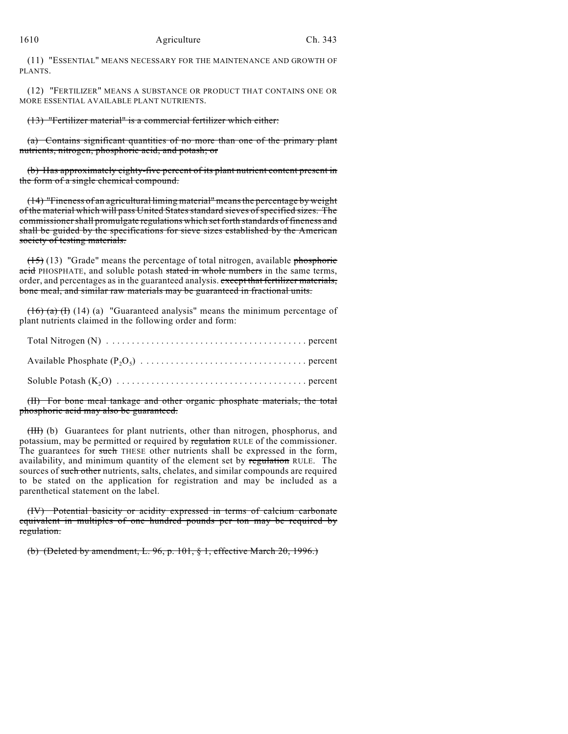(11) "ESSENTIAL" MEANS NECESSARY FOR THE MAINTENANCE AND GROWTH OF PLANTS.

(12) "FERTILIZER" MEANS A SUBSTANCE OR PRODUCT THAT CONTAINS ONE OR MORE ESSENTIAL AVAILABLE PLANT NUTRIENTS.

(13) "Fertilizer material" is a commercial fertilizer which either:

(a) Contains significant quantities of no more than one of the primary plant nutrients, nitrogen, phosphoric acid, and potash; or

(b) Has approximately eighty-five percent of its plant nutrient content present in the form of a single chemical compound.

(14) "Fineness of an agricultural liming material" meansthe percentage by weight of the material which will pass United States standard sieves of specified sizes. The commissioner shall promulgate regulations which set forth standards of fineness and shall be guided by the specifications for sieve sizes established by the American society of testing materials.

 $(15)$  (13) "Grade" means the percentage of total nitrogen, available phosphoric acid PHOSPHATE, and soluble potash stated in whole numbers in the same terms, order, and percentages as in the guaranteed analysis. except that fertilizer materials, bone meal, and similar raw materials may be guaranteed in fractional units.

 $(16)$  (a) (I) (14) (a) "Guaranteed analysis" means the minimum percentage of plant nutrients claimed in the following order and form:

(II) For bone meal tankage and other organic phosphate materials, the total phosphoric acid may also be guaranteed.

(III) (b) Guarantees for plant nutrients, other than nitrogen, phosphorus, and potassium, may be permitted or required by regulation RULE of the commissioner. The guarantees for such THESE other nutrients shall be expressed in the form, availability, and minimum quantity of the element set by regulation RULE. The sources of such other nutrients, salts, chelates, and similar compounds are required to be stated on the application for registration and may be included as a parenthetical statement on the label.

(IV) Potential basicity or acidity expressed in terms of calcium carbonate equivalent in multiples of one hundred pounds per ton may be required by regulation.

(b) (Deleted by amendment, L. 96, p. 101, § 1, effective March 20, 1996.)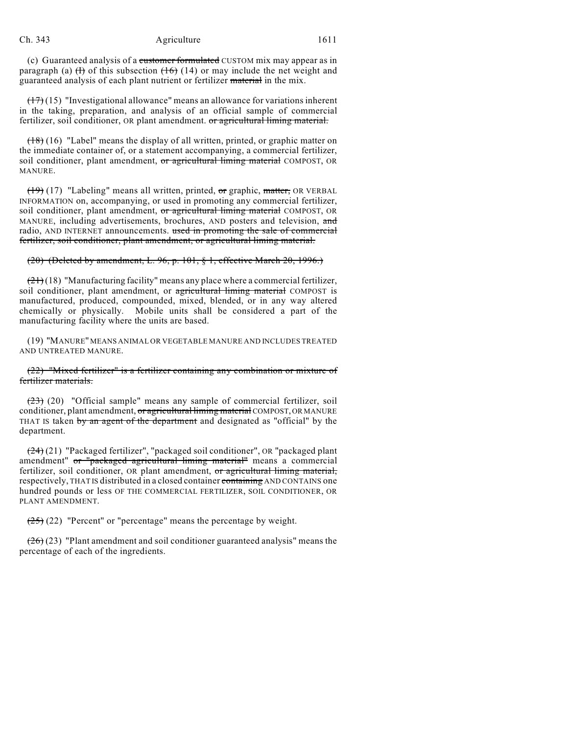### Ch. 343 Agriculture 1611

(c) Guaranteed analysis of a customer formulated CUSTOM mix may appear as in paragraph (a)  $(H)$  of this subsection  $(H)$  (14) or may include the net weight and guaranteed analysis of each plant nutrient or fertilizer material in the mix.

 $(17)(15)$  "Investigational allowance" means an allowance for variations inherent in the taking, preparation, and analysis of an official sample of commercial fertilizer, soil conditioner, OR plant amendment. or agricultural liming material.

 $(18)$  (16) "Label" means the display of all written, printed, or graphic matter on the immediate container of, or a statement accompanying, a commercial fertilizer, soil conditioner, plant amendment, or agricultural liming material COMPOST, OR MANURE.

(19) (17) "Labeling" means all written, printed, or graphic, matter, OR VERBAL INFORMATION on, accompanying, or used in promoting any commercial fertilizer, soil conditioner, plant amendment, or agricultural liming material COMPOST, OR MANURE, including advertisements, brochures, AND posters and television, and radio, AND INTERNET announcements. used in promoting the sale of commercial fertilizer, soil conditioner, plant amendment, or agricultural liming material.

## (20) (Deleted by amendment, L. 96, p. 101, § 1, effective March 20, 1996.)

 $(21)(18)$  "Manufacturing facility" means any place where a commercial fertilizer, soil conditioner, plant amendment, or agricultural liming material COMPOST is manufactured, produced, compounded, mixed, blended, or in any way altered chemically or physically. Mobile units shall be considered a part of the manufacturing facility where the units are based.

(19) "MANURE" MEANS ANIMAL OR VEGETABLE MANURE AND INCLUDES TREATED AND UNTREATED MANURE.

(22) "Mixed fertilizer" is a fertilizer containing any combination or mixture of fertilizer materials.

(23) (20) "Official sample" means any sample of commercial fertilizer, soil conditioner, plant amendment, or agricultural liming material COMPOST, OR MANURE THAT IS taken by an agent of the department and designated as "official" by the department.

(24) (21) "Packaged fertilizer", "packaged soil conditioner", OR "packaged plant amendment" or "packaged agricultural liming material" means a commercial fertilizer, soil conditioner, OR plant amendment, or agricultural liming material, respectively, THAT IS distributed in a closed container containing AND CONTAINS one hundred pounds or less OF THE COMMERCIAL FERTILIZER, SOIL CONDITIONER, OR PLANT AMENDMENT.

 $(25)$  (22) "Percent" or "percentage" means the percentage by weight.

 $(26)(23)$  "Plant amendment and soil conditioner guaranteed analysis" means the percentage of each of the ingredients.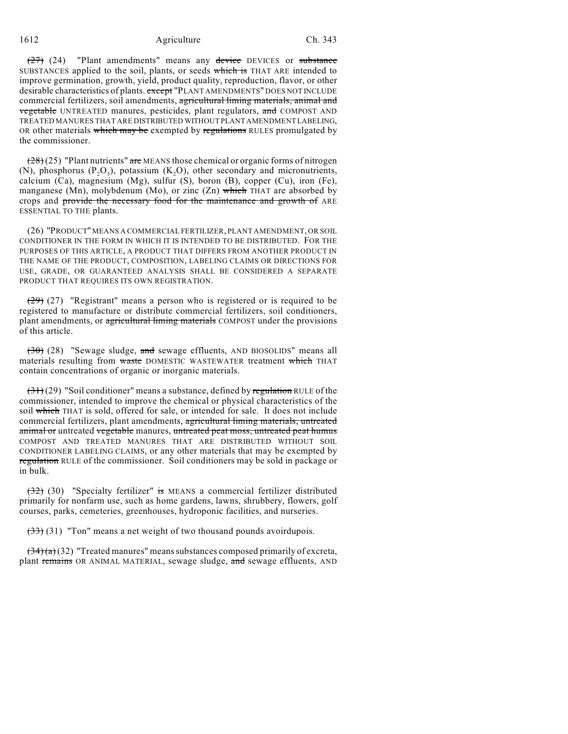### 1612 **Agriculture** Ch. 343

 $(27)$  (24) "Plant amendments" means any device DEVICES or substance SUBSTANCES applied to the soil, plants, or seeds which is THAT ARE intended to improve germination, growth, yield, product quality, reproduction, flavor, or other desirable characteristics of plants. except "PLANT AMENDMENTS" DOES NOT INCLUDE commercial fertilizers, soil amendments, agricultural liming materials, animal and vegetable UNTREATED manures, pesticides, plant regulators, and COMPOST AND TREATED MANURES THAT ARE DISTRIBUTED WITHOUT PLANT AMENDMENT LABELING, OR other materials which may be exempted by regulations RULES promulgated by the commissioner.

 $(28)(25)$  "Plant nutrients" are MEANS those chemical or organic forms of nitrogen (N), phosphorus ( $P_2O_5$ ), potassium (K<sub>2</sub>O), other secondary and micronutrients, calcium (Ca), magnesium (Mg), sulfur (S), boron (B), copper (Cu), iron (Fe), manganese (Mn), molybdenum (Mo), or zinc (Zn) which THAT are absorbed by crops and provide the necessary food for the maintenance and growth of ARE ESSENTIAL TO THE plants.

(26) "PRODUCT" MEANS A COMMERCIAL FERTILIZER, PLANT AMENDMENT, OR SOIL CONDITIONER IN THE FORM IN WHICH IT IS INTENDED TO BE DISTRIBUTED. FOR THE PURPOSES OF THIS ARTICLE, A PRODUCT THAT DIFFERS FROM ANOTHER PRODUCT IN THE NAME OF THE PRODUCT, COMPOSITION, LABELING CLAIMS OR DIRECTIONS FOR USE, GRADE, OR GUARANTEED ANALYSIS SHALL BE CONSIDERED A SEPARATE PRODUCT THAT REQUIRES ITS OWN REGISTRATION.

(29) (27) "Registrant" means a person who is registered or is required to be registered to manufacture or distribute commercial fertilizers, soil conditioners, plant amendments, or agricultural liming materials COMPOST under the provisions of this article.

 $(30)$  (28) "Sewage sludge, and sewage effluents, AND BIOSOLIDS" means all materials resulting from waste DOMESTIC WASTEWATER treatment which THAT contain concentrations of organic or inorganic materials.

 $(31)(29)$  "Soil conditioner" means a substance, defined by regulation RULE of the commissioner, intended to improve the chemical or physical characteristics of the soil which THAT is sold, offered for sale, or intended for sale. It does not include commercial fertilizers, plant amendments, agricultural liming materials, untreated animal or untreated vegetable manures, untreated peat moss, untreated peat humus COMPOST AND TREATED MANURES THAT ARE DISTRIBUTED WITHOUT SOIL CONDITIONER LABELING CLAIMS, or any other materials that may be exempted by regulation RULE of the commissioner. Soil conditioners may be sold in package or in bulk.

(32) (30) "Specialty fertilizer" is MEANS a commercial fertilizer distributed primarily for nonfarm use, such as home gardens, lawns, shrubbery, flowers, golf courses, parks, cemeteries, greenhouses, hydroponic facilities, and nurseries.

 $(33)$  (31) "Ton" means a net weight of two thousand pounds avoirdupois.

 $(34)(a)(32)$  "Treated manures" means substances composed primarily of excreta, plant remains OR ANIMAL MATERIAL, sewage sludge, and sewage effluents, AND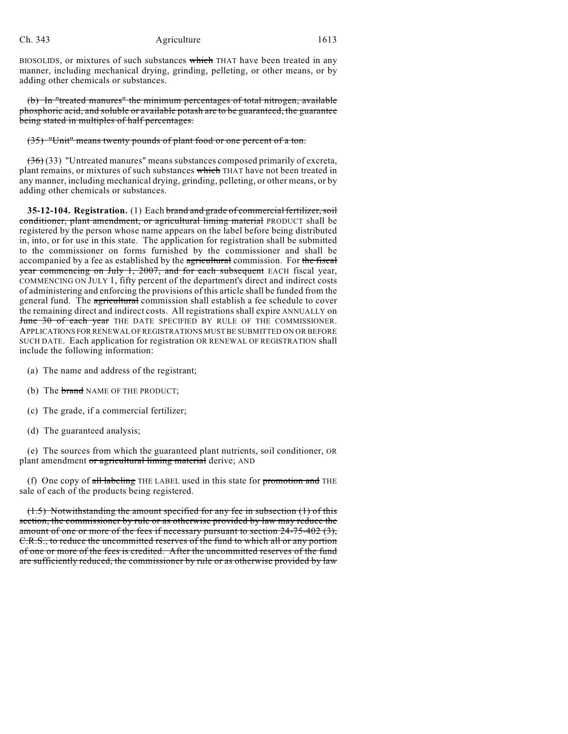BIOSOLIDS, or mixtures of such substances which THAT have been treated in any manner, including mechanical drying, grinding, pelleting, or other means, or by adding other chemicals or substances.

(b) In "treated manures" the minimum percentages of total nitrogen, available phosphoric acid, and soluble or available potash are to be guaranteed, the guarantee being stated in multiples of half percentages.

(35) "Unit" means twenty pounds of plant food or one percent of a ton.

 $(36)(33)$  "Untreated manures" means substances composed primarily of excreta, plant remains, or mixtures of such substances which THAT have not been treated in any manner, including mechanical drying, grinding, pelleting, or other means, or by adding other chemicals or substances.

**35-12-104. Registration.** (1) Each brand and grade of commercial fertilizer, soil conditioner, plant amendment, or agricultural liming material PRODUCT shall be registered by the person whose name appears on the label before being distributed in, into, or for use in this state. The application for registration shall be submitted to the commissioner on forms furnished by the commissioner and shall be accompanied by a fee as established by the agricultural commission. For the fiscal year commencing on July 1, 2007, and for each subsequent EACH fiscal year, COMMENCING ON JULY 1, fifty percent of the department's direct and indirect costs of administering and enforcing the provisions of this article shall be funded from the general fund. The agricultural commission shall establish a fee schedule to cover the remaining direct and indirect costs. All registrations shall expire ANNUALLY on June 30 of each year THE DATE SPECIFIED BY RULE OF THE COMMISSIONER. APPLICATIONS FOR RENEWAL OF REGISTRATIONS MUST BE SUBMITTED ON OR BEFORE SUCH DATE. Each application for registration OR RENEWAL OF REGISTRATION shall include the following information:

- (a) The name and address of the registrant;
- (b) The **brand** NAME OF THE PRODUCT;
- (c) The grade, if a commercial fertilizer;
- (d) The guaranteed analysis;

(e) The sources from which the guaranteed plant nutrients, soil conditioner, OR plant amendment or agricultural liming material derive; AND

(f) One copy of all labeling THE LABEL used in this state for promotion and THE sale of each of the products being registered.

 $(1.5)$  Notwithstanding the amount specified for any fee in subsection  $(1)$  of this section, the commissioner by rule or as otherwise provided by law may reduce the amount of one or more of the fees if necessary pursuant to section  $24-75-402$  (3), C.R.S., to reduce the uncommitted reserves of the fund to which all or any portion of one or more of the fees is credited. After the uncommitted reserves of the fund are sufficiently reduced, the commissioner by rule or as otherwise provided by law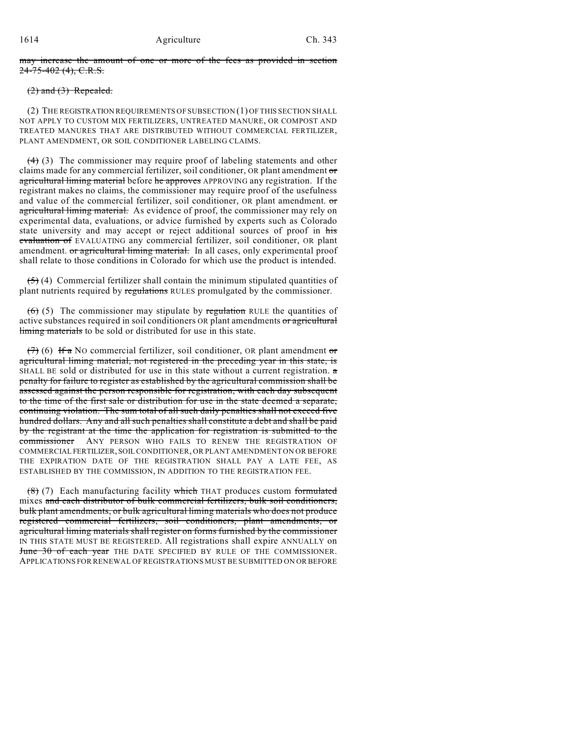may increase the amount of one or more of the fees as provided in section  $24 - 75 - 402$  (4), C.R.S.

## $(2)$  and  $(3)$  Repealed.

(2) THE REGISTRATION REQUIREMENTS OF SUBSECTION (1) OF THIS SECTION SHALL NOT APPLY TO CUSTOM MIX FERTILIZERS, UNTREATED MANURE, OR COMPOST AND TREATED MANURES THAT ARE DISTRIBUTED WITHOUT COMMERCIAL FERTILIZER, PLANT AMENDMENT, OR SOIL CONDITIONER LABELING CLAIMS.

 $(4)$  (3) The commissioner may require proof of labeling statements and other claims made for any commercial fertilizer, soil conditioner, OR plant amendment or agricultural liming material before he approves APPROVING any registration. If the registrant makes no claims, the commissioner may require proof of the usefulness and value of the commercial fertilizer, soil conditioner, OR plant amendment. or agricultural liming material. As evidence of proof, the commissioner may rely on experimental data, evaluations, or advice furnished by experts such as Colorado state university and may accept or reject additional sources of proof in his evaluation of EVALUATING any commercial fertilizer, soil conditioner, OR plant amendment. or agricultural liming material. In all cases, only experimental proof shall relate to those conditions in Colorado for which use the product is intended.

 $(5)$  (4) Commercial fertilizer shall contain the minimum stipulated quantities of plant nutrients required by regulations RULES promulgated by the commissioner.

 $(6)$  (5) The commissioner may stipulate by regulation RULE the quantities of active substances required in soil conditioners OR plant amendments or agricultural liming materials to be sold or distributed for use in this state.

 $(7)$  (6) If a NO commercial fertilizer, soil conditioner, OR plant amendment or agricultural liming material, not registered in the preceding year in this state, is SHALL BE sold or distributed for use in this state without a current registration.  $\sigma$ penalty for failure to register as established by the agricultural commission shall be assessed against the person responsible for registration, with each day subsequent to the time of the first sale or distribution for use in the state deemed a separate, continuing violation. The sum total of all such daily penalties shall not exceed five hundred dollars. Any and all such penalties shall constitute a debt and shall be paid by the registrant at the time the application for registration is submitted to the commissioner ANY PERSON WHO FAILS TO RENEW THE REGISTRATION OF COMMERCIAL FERTILIZER, SOIL CONDITIONER, OR PLANT AMENDMENT ON OR BEFORE THE EXPIRATION DATE OF THE REGISTRATION SHALL PAY A LATE FEE, AS ESTABLISHED BY THE COMMISSION, IN ADDITION TO THE REGISTRATION FEE.

 $(8)$  (7) Each manufacturing facility which THAT produces custom formulated mixes and each distributor of bulk commercial fertilizers, bulk soil conditioners, bulk plant amendments, or bulk agricultural liming materials who does not produce registered commercial fertilizers, soil conditioners, plant amendments, or agricultural liming materials shall register on forms furnished by the commissioner IN THIS STATE MUST BE REGISTERED. All registrations shall expire ANNUALLY on June 30 of each year THE DATE SPECIFIED BY RULE OF THE COMMISSIONER. APPLICATIONS FOR RENEWAL OF REGISTRATIONS MUST BE SUBMITTED ON OR BEFORE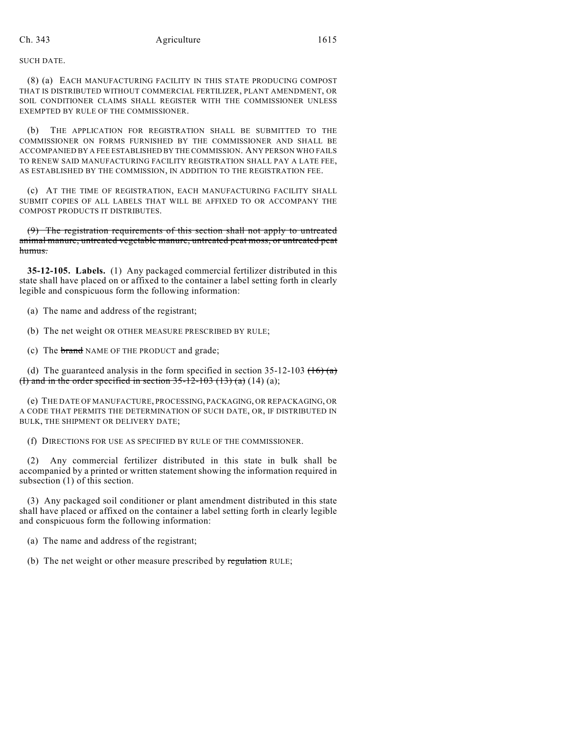SUCH DATE.

(8) (a) EACH MANUFACTURING FACILITY IN THIS STATE PRODUCING COMPOST THAT IS DISTRIBUTED WITHOUT COMMERCIAL FERTILIZER, PLANT AMENDMENT, OR SOIL CONDITIONER CLAIMS SHALL REGISTER WITH THE COMMISSIONER UNLESS EXEMPTED BY RULE OF THE COMMISSIONER.

(b) THE APPLICATION FOR REGISTRATION SHALL BE SUBMITTED TO THE COMMISSIONER ON FORMS FURNISHED BY THE COMMISSIONER AND SHALL BE ACCOMPANIED BY A FEE ESTABLISHED BY THE COMMISSION. ANY PERSON WHO FAILS TO RENEW SAID MANUFACTURING FACILITY REGISTRATION SHALL PAY A LATE FEE, AS ESTABLISHED BY THE COMMISSION, IN ADDITION TO THE REGISTRATION FEE.

(c) AT THE TIME OF REGISTRATION, EACH MANUFACTURING FACILITY SHALL SUBMIT COPIES OF ALL LABELS THAT WILL BE AFFIXED TO OR ACCOMPANY THE COMPOST PRODUCTS IT DISTRIBUTES.

(9) The registration requirements of this section shall not apply to untreated animal manure, untreated vegetable manure, untreated peat moss, or untreated peat humus.

**35-12-105. Labels.** (1) Any packaged commercial fertilizer distributed in this state shall have placed on or affixed to the container a label setting forth in clearly legible and conspicuous form the following information:

(a) The name and address of the registrant;

(b) The net weight OR OTHER MEASURE PRESCRIBED BY RULE;

(c) The brand NAME OF THE PRODUCT and grade;

(d) The guaranteed analysis in the form specified in section  $35-12-103$  ( $16$ ) (a) (I) and in the order specified in section  $35-12-103$  (13) (a) (14) (a);

(e) THE DATE OF MANUFACTURE, PROCESSING, PACKAGING, OR REPACKAGING, OR A CODE THAT PERMITS THE DETERMINATION OF SUCH DATE, OR, IF DISTRIBUTED IN BULK, THE SHIPMENT OR DELIVERY DATE;

(f) DIRECTIONS FOR USE AS SPECIFIED BY RULE OF THE COMMISSIONER.

(2) Any commercial fertilizer distributed in this state in bulk shall be accompanied by a printed or written statement showing the information required in subsection (1) of this section.

(3) Any packaged soil conditioner or plant amendment distributed in this state shall have placed or affixed on the container a label setting forth in clearly legible and conspicuous form the following information:

(a) The name and address of the registrant;

(b) The net weight or other measure prescribed by regulation RULE;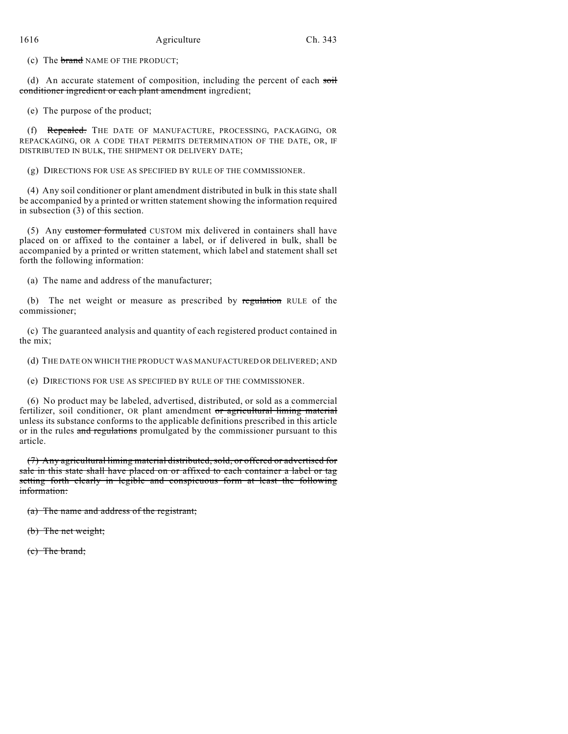(c) The brand NAME OF THE PRODUCT;

(d) An accurate statement of composition, including the percent of each soil conditioner ingredient or each plant amendment ingredient;

(e) The purpose of the product;

(f) Repealed. THE DATE OF MANUFACTURE, PROCESSING, PACKAGING, OR REPACKAGING, OR A CODE THAT PERMITS DETERMINATION OF THE DATE, OR, IF DISTRIBUTED IN BULK, THE SHIPMENT OR DELIVERY DATE;

(g) DIRECTIONS FOR USE AS SPECIFIED BY RULE OF THE COMMISSIONER.

(4) Any soil conditioner or plant amendment distributed in bulk in this state shall be accompanied by a printed or written statement showing the information required in subsection (3) of this section.

(5) Any customer formulated CUSTOM mix delivered in containers shall have placed on or affixed to the container a label, or if delivered in bulk, shall be accompanied by a printed or written statement, which label and statement shall set forth the following information:

(a) The name and address of the manufacturer;

(b) The net weight or measure as prescribed by regulation RULE of the commissioner;

(c) The guaranteed analysis and quantity of each registered product contained in the mix;

(d) THE DATE ON WHICH THE PRODUCT WAS MANUFACTURED OR DELIVERED; AND

(e) DIRECTIONS FOR USE AS SPECIFIED BY RULE OF THE COMMISSIONER.

(6) No product may be labeled, advertised, distributed, or sold as a commercial fertilizer, soil conditioner, OR plant amendment or agricultural liming material unless its substance conforms to the applicable definitions prescribed in this article or in the rules and regulations promulgated by the commissioner pursuant to this article.

(7) Any agricultural liming material distributed, sold, or offered or advertised for sale in this state shall have placed on or affixed to each container a label or tag setting forth clearly in legible and conspicuous form at least the following information:

(a) The name and address of the registrant;

(b) The net weight;

(c) The brand;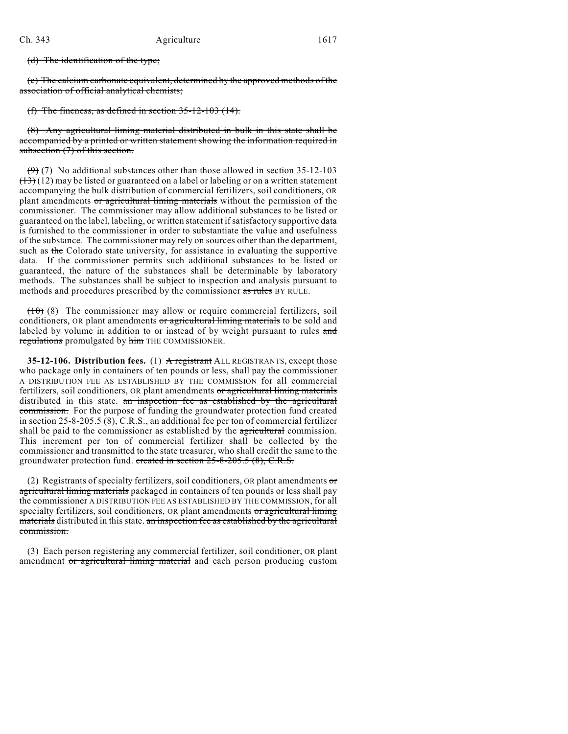(d) The identification of the type;

(e) The calcium carbonate equivalent, determined by the approved methods of the association of official analytical chemists;

(f) The fineness, as defined in section  $35-12-103$  (14).

(8) Any agricultural liming material distributed in bulk in this state shall be accompanied by a printed or written statement showing the information required in subsection (7) of this section.

 $(9)$  (7) No additional substances other than those allowed in section 35-12-103  $(13)(12)$  may be listed or guaranteed on a label or labeling or on a written statement accompanying the bulk distribution of commercial fertilizers, soil conditioners, OR plant amendments or agricultural liming materials without the permission of the commissioner. The commissioner may allow additional substances to be listed or guaranteed on the label, labeling, or written statement if satisfactory supportive data is furnished to the commissioner in order to substantiate the value and usefulness of the substance. The commissioner may rely on sources other than the department, such as the Colorado state university, for assistance in evaluating the supportive data. If the commissioner permits such additional substances to be listed or guaranteed, the nature of the substances shall be determinable by laboratory methods. The substances shall be subject to inspection and analysis pursuant to methods and procedures prescribed by the commissioner as rules BY RULE.

 $(10)$  (8) The commissioner may allow or require commercial fertilizers, soil conditioners, OR plant amendments or agricultural liming materials to be sold and labeled by volume in addition to or instead of by weight pursuant to rules and regulations promulgated by him THE COMMISSIONER.

**35-12-106. Distribution fees.** (1) A registrant ALL REGISTRANTS, except those who package only in containers of ten pounds or less, shall pay the commissioner A DISTRIBUTION FEE AS ESTABLISHED BY THE COMMISSION for all commercial fertilizers, soil conditioners, OR plant amendments or agricultural liming materials distributed in this state. an inspection fee as established by the agricultural commission. For the purpose of funding the groundwater protection fund created in section 25-8-205.5 (8), C.R.S., an additional fee per ton of commercial fertilizer shall be paid to the commissioner as established by the agricultural commission. This increment per ton of commercial fertilizer shall be collected by the commissioner and transmitted to the state treasurer, who shall credit the same to the groundwater protection fund. created in section 25-8-205.5 (8), C.R.S.

(2) Registrants of specialty fertilizers, soil conditioners, OR plant amendments or agricultural liming materials packaged in containers of ten pounds or less shall pay the commissioner A DISTRIBUTION FEE AS ESTABLISHED BY THE COMMISSION, for all specialty fertilizers, soil conditioners, OR plant amendments or agricultural liming materials distributed in this state. an inspection fee as established by the agricultural commission.

(3) Each person registering any commercial fertilizer, soil conditioner, OR plant amendment or agricultural liming material and each person producing custom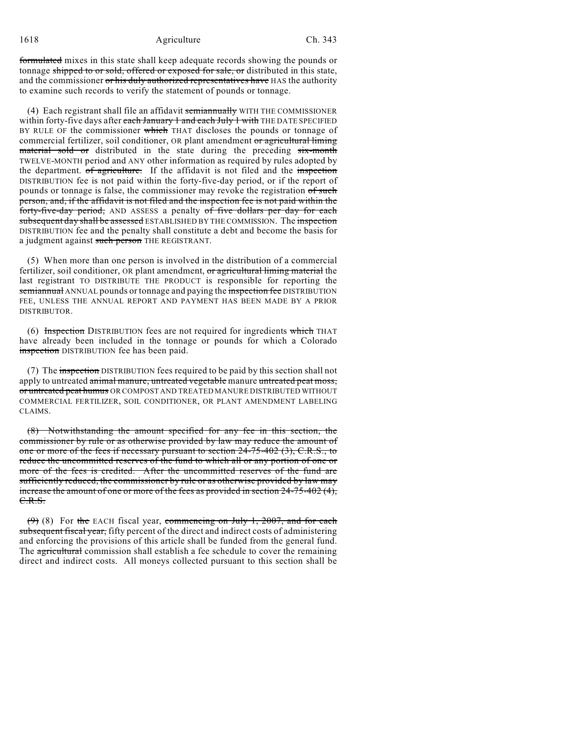## 1618 **Ch.** 343

formulated mixes in this state shall keep adequate records showing the pounds or tonnage shipped to or sold, offered or exposed for sale, or distributed in this state, and the commissioner or his duly authorized representatives have HAS the authority to examine such records to verify the statement of pounds or tonnage.

(4) Each registrant shall file an affidavit semianmually WITH THE COMMISSIONER within forty-five days after each January 1 and each July 1 with THE DATE SPECIFIED BY RULE OF the commissioner which THAT discloses the pounds or tonnage of commercial fertilizer, soil conditioner, OR plant amendment or agricultural liming material sold or distributed in the state during the preceding six-month TWELVE-MONTH period and ANY other information as required by rules adopted by the department. of agriculture. If the affidavit is not filed and the inspection DISTRIBUTION fee is not paid within the forty-five-day period, or if the report of pounds or tonnage is false, the commissioner may revoke the registration of such person, and, if the affidavit is not filed and the inspection fee is not paid within the forty-five-day period, AND ASSESS a penalty of five dollars per day for each subsequent day shall be assessed ESTABLISHED BY THE COMMISSION. The inspection DISTRIBUTION fee and the penalty shall constitute a debt and become the basis for a judgment against such person THE REGISTRANT.

(5) When more than one person is involved in the distribution of a commercial fertilizer, soil conditioner, OR plant amendment, or agricultural liming material the last registrant TO DISTRIBUTE THE PRODUCT is responsible for reporting the semiannual ANNUAL pounds or tonnage and paying the inspection fee DISTRIBUTION FEE, UNLESS THE ANNUAL REPORT AND PAYMENT HAS BEEN MADE BY A PRIOR DISTRIBUTOR.

(6) Inspection DISTRIBUTION fees are not required for ingredients which THAT have already been included in the tonnage or pounds for which a Colorado inspection DISTRIBUTION fee has been paid.

(7) The inspection DISTRIBUTION fees required to be paid by this section shall not apply to untreated animal manure, untreated vegetable manure untreated peat moss, or untreated peat humus OR COMPOST AND TREATED MANURE DISTRIBUTED WITHOUT COMMERCIAL FERTILIZER, SOIL CONDITIONER, OR PLANT AMENDMENT LABELING CLAIMS.

(8) Notwithstanding the amount specified for any fee in this section, the commissioner by rule or as otherwise provided by law may reduce the amount of one or more of the fees if necessary pursuant to section 24-75-402 (3), C.R.S., to reduce the uncommitted reserves of the fund to which all or any portion of one or more of the fees is credited. After the uncommitted reserves of the fund are sufficiently reduced, the commissioner by rule or as otherwise provided by law may increase the amount of one or more of the fees as provided in section 24-75-402 (4), C.R.S.

(9) (8) For the EACH fiscal year, commencing on July 1, 2007, and for each subsequent fiscal year, fifty percent of the direct and indirect costs of administering and enforcing the provisions of this article shall be funded from the general fund. The agricultural commission shall establish a fee schedule to cover the remaining direct and indirect costs. All moneys collected pursuant to this section shall be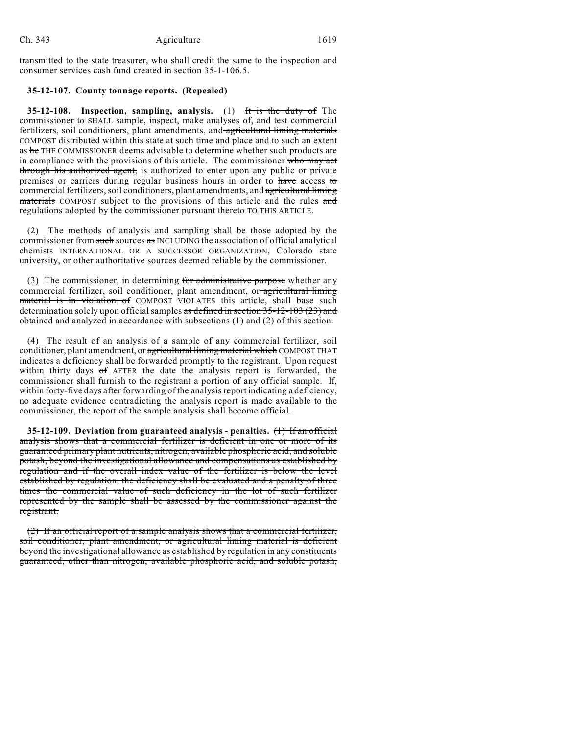transmitted to the state treasurer, who shall credit the same to the inspection and consumer services cash fund created in section 35-1-106.5.

## **35-12-107. County tonnage reports. (Repealed)**

**35-12-108. Inspection, sampling, analysis.** (1) It is the duty of The commissioner to SHALL sample, inspect, make analyses of, and test commercial fertilizers, soil conditioners, plant amendments, and agricultural liming materials COMPOST distributed within this state at such time and place and to such an extent as he THE COMMISSIONER deems advisable to determine whether such products are in compliance with the provisions of this article. The commissioner who may act through his authorized agent, is authorized to enter upon any public or private premises or carriers during regular business hours in order to have access to commercial fertilizers, soil conditioners, plant amendments, and agricultural liming materials COMPOST subject to the provisions of this article and the rules and regulations adopted by the commissioner pursuant thereto TO THIS ARTICLE.

(2) The methods of analysis and sampling shall be those adopted by the commissioner from such sources as INCLUDING the association of official analytical chemists INTERNATIONAL OR A SUCCESSOR ORGANIZATION, Colorado state university, or other authoritative sources deemed reliable by the commissioner.

(3) The commissioner, in determining for administrative purpose whether any commercial fertilizer, soil conditioner, plant amendment, or agricultural liming material is in violation of COMPOST VIOLATES this article, shall base such determination solely upon official samples as defined in section 35-12-103 (23) and obtained and analyzed in accordance with subsections (1) and (2) of this section.

(4) The result of an analysis of a sample of any commercial fertilizer, soil conditioner, plant amendment, or agricultural liming material which COMPOST THAT indicates a deficiency shall be forwarded promptly to the registrant. Upon request within thirty days of AFTER the date the analysis report is forwarded, the commissioner shall furnish to the registrant a portion of any official sample. If, within forty-five days after forwarding of the analysis report indicating a deficiency, no adequate evidence contradicting the analysis report is made available to the commissioner, the report of the sample analysis shall become official.

**35-12-109. Deviation from guaranteed analysis - penalties.** (1) If an official analysis shows that a commercial fertilizer is deficient in one or more of its guaranteed primary plant nutrients, nitrogen, available phosphoric acid, and soluble potash, beyond the investigational allowance and compensations as established by regulation and if the overall index value of the fertilizer is below the level established by regulation, the deficiency shall be evaluated and a penalty of three times the commercial value of such deficiency in the lot of such fertilizer represented by the sample shall be assessed by the commissioner against the registrant.

(2) If an official report of a sample analysis shows that a commercial fertilizer, soil conditioner, plant amendment, or agricultural liming material is deficient beyond the investigational allowance as established by regulation in any constituents guaranteed, other than nitrogen, available phosphoric acid, and soluble potash,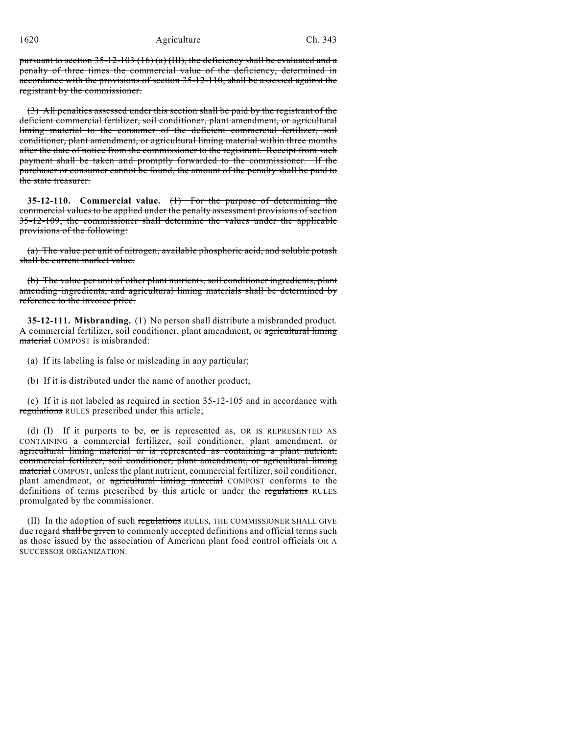1620 Agriculture Ch. 343

pursuant to section  $35$ -12-103 (16) (a) (III), the deficiency shall be evaluated and a penalty of three times the commercial value of the deficiency, determined in accordance with the provisions of section 35-12-110, shall be assessed against the registrant by the commissioner.

(3) All penalties assessed under this section shall be paid by the registrant of the deficient commercial fertilizer, soil conditioner, plant amendment, or agricultural liming material to the consumer of the deficient commercial fertilizer, soil conditioner, plant amendment, or agricultural liming material within three months after the date of notice from the commissioner to the registrant. Receipt from such payment shall be taken and promptly forwarded to the commissioner. If the purchaser or consumer cannot be found, the amount of the penalty shall be paid to the state treasurer.

**35-12-110. Commercial value.** (1) For the purpose of determining the commercial values to be applied under the penalty assessment provisions of section 35-12-109, the commissioner shall determine the values under the applicable provisions of the following:

(a) The value per unit of nitrogen, available phosphoric acid, and soluble potash shall be current market value.

(b) The value per unit of other plant nutrients, soil conditioner ingredients, plant amending ingredients, and agricultural liming materials shall be determined by reference to the invoice price.

**35-12-111. Misbranding.** (1) No person shall distribute a misbranded product. A commercial fertilizer, soil conditioner, plant amendment, or agricultural liming material COMPOST is misbranded:

(a) If its labeling is false or misleading in any particular;

(b) If it is distributed under the name of another product;

(c) If it is not labeled as required in section 35-12-105 and in accordance with regulations RULES prescribed under this article;

(d) (I) If it purports to be,  $\sigma$ r is represented as, OR IS REPRESENTED AS CONTAINING a commercial fertilizer, soil conditioner, plant amendment, or agricultural liming material or is represented as containing a plant nutrient, commercial fertilizer, soil conditioner, plant amendment, or agricultural liming material COMPOST, unless the plant nutrient, commercial fertilizer, soil conditioner, plant amendment, or agricultural liming material COMPOST conforms to the definitions of terms prescribed by this article or under the regulations RULES promulgated by the commissioner.

(II) In the adoption of such regulations RULES, THE COMMISSIONER SHALL GIVE due regard shall be given to commonly accepted definitions and official terms such as those issued by the association of American plant food control officials OR A SUCCESSOR ORGANIZATION.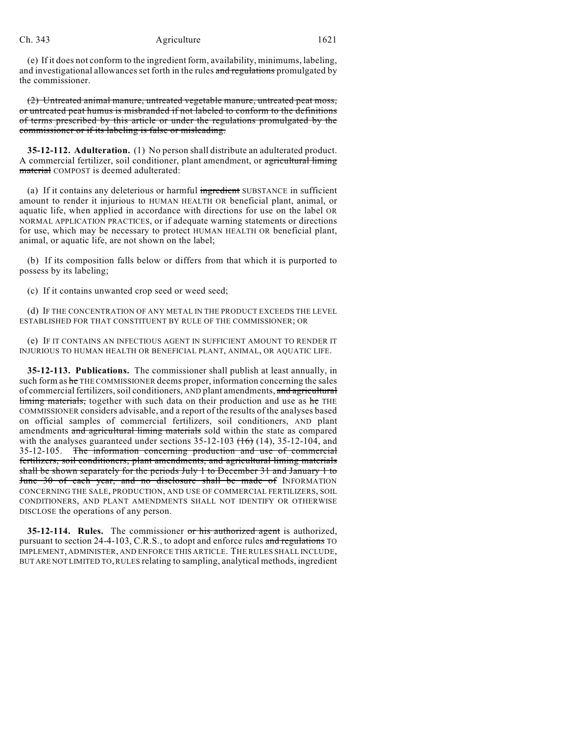### Ch. 343 Agriculture 1621

(e) If it does not conform to the ingredient form, availability, minimums, labeling, and investigational allowances set forth in the rules and regulations promulgated by the commissioner.

(2) Untreated animal manure, untreated vegetable manure, untreated peat moss, or untreated peat humus is misbranded if not labeled to conform to the definitions of terms prescribed by this article or under the regulations promulgated by the commissioner or if its labeling is false or misleading.

**35-12-112. Adulteration.** (1) No person shall distribute an adulterated product. A commercial fertilizer, soil conditioner, plant amendment, or agricultural liming material COMPOST is deemed adulterated:

(a) If it contains any deleterious or harmful ingredient SUBSTANCE in sufficient amount to render it injurious to HUMAN HEALTH OR beneficial plant, animal, or aquatic life, when applied in accordance with directions for use on the label OR NORMAL APPLICATION PRACTICES, or if adequate warning statements or directions for use, which may be necessary to protect HUMAN HEALTH OR beneficial plant, animal, or aquatic life, are not shown on the label;

(b) If its composition falls below or differs from that which it is purported to possess by its labeling;

(c) If it contains unwanted crop seed or weed seed;

(d) IF THE CONCENTRATION OF ANY METAL IN THE PRODUCT EXCEEDS THE LEVEL ESTABLISHED FOR THAT CONSTITUENT BY RULE OF THE COMMISSIONER; OR

(e) IF IT CONTAINS AN INFECTIOUS AGENT IN SUFFICIENT AMOUNT TO RENDER IT INJURIOUS TO HUMAN HEALTH OR BENEFICIAL PLANT, ANIMAL, OR AQUATIC LIFE.

**35-12-113. Publications.** The commissioner shall publish at least annually, in such form as he THE COMMISSIONER deems proper, information concerning the sales of commercial fertilizers, soil conditioners, AND plant amendments, and agricultural liming materials, together with such data on their production and use as he THE COMMISSIONER considers advisable, and a report of the results of the analyses based on official samples of commercial fertilizers, soil conditioners, AND plant amendments and agricultural liming materials sold within the state as compared with the analyses guaranteed under sections  $35-12-103$   $(16)$   $(14)$ ,  $35-12-104$ , and 35-12-105. The information concerning production and use of commercial fertilizers, soil conditioners, plant amendments, and agricultural liming materials shall be shown separately for the periods July 1 to December 31 and January 1 to June 30 of each year, and no disclosure shall be made of INFORMATION CONCERNING THE SALE, PRODUCTION, AND USE OF COMMERCIAL FERTILIZERS, SOIL CONDITIONERS, AND PLANT AMENDMENTS SHALL NOT IDENTIFY OR OTHERWISE DISCLOSE the operations of any person.

**35-12-114. Rules.** The commissioner or his authorized agent is authorized, pursuant to section 24-4-103, C.R.S., to adopt and enforce rules and regulations TO IMPLEMENT, ADMINISTER, AND ENFORCE THIS ARTICLE. THE RULES SHALL INCLUDE, BUT ARE NOT LIMITED TO, RULES relating to sampling, analytical methods, ingredient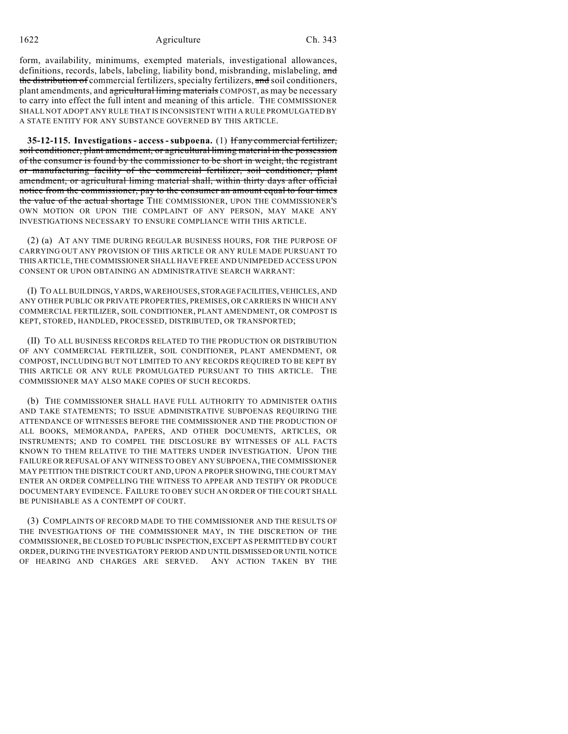form, availability, minimums, exempted materials, investigational allowances, definitions, records, labels, labeling, liability bond, misbranding, mislabeling, and the distribution of commercial fertilizers, specialty fertilizers, and soil conditioners, plant amendments, and agricultural liming materials COMPOST, as may be necessary to carry into effect the full intent and meaning of this article. THE COMMISSIONER SHALL NOT ADOPT ANY RULE THAT IS INCONSISTENT WITH A RULE PROMULGATED BY A STATE ENTITY FOR ANY SUBSTANCE GOVERNED BY THIS ARTICLE.

**35-12-115. Investigations - access - subpoena.** (1) If any commercial fertilizer, soil conditioner, plant amendment, or agricultural liming material in the possession of the consumer is found by the commissioner to be short in weight, the registrant or manufacturing facility of the commercial fertilizer, soil conditioner, plant amendment, or agricultural liming material shall, within thirty days after official notice from the commissioner, pay to the consumer an amount equal to four times the value of the actual shortage THE COMMISSIONER, UPON THE COMMISSIONER'S OWN MOTION OR UPON THE COMPLAINT OF ANY PERSON, MAY MAKE ANY INVESTIGATIONS NECESSARY TO ENSURE COMPLIANCE WITH THIS ARTICLE.

(2) (a) AT ANY TIME DURING REGULAR BUSINESS HOURS, FOR THE PURPOSE OF CARRYING OUT ANY PROVISION OF THIS ARTICLE OR ANY RULE MADE PURSUANT TO THIS ARTICLE, THE COMMISSIONER SHALL HAVE FREE AND UNIMPEDED ACCESS UPON CONSENT OR UPON OBTAINING AN ADMINISTRATIVE SEARCH WARRANT:

(I) TO ALL BUILDINGS, YARDS, WAREHOUSES, STORAGE FACILITIES, VEHICLES, AND ANY OTHER PUBLIC OR PRIVATE PROPERTIES, PREMISES, OR CARRIERS IN WHICH ANY COMMERCIAL FERTILIZER, SOIL CONDITIONER, PLANT AMENDMENT, OR COMPOST IS KEPT, STORED, HANDLED, PROCESSED, DISTRIBUTED, OR TRANSPORTED;

(II) TO ALL BUSINESS RECORDS RELATED TO THE PRODUCTION OR DISTRIBUTION OF ANY COMMERCIAL FERTILIZER, SOIL CONDITIONER, PLANT AMENDMENT, OR COMPOST, INCLUDING BUT NOT LIMITED TO ANY RECORDS REQUIRED TO BE KEPT BY THIS ARTICLE OR ANY RULE PROMULGATED PURSUANT TO THIS ARTICLE. THE COMMISSIONER MAY ALSO MAKE COPIES OF SUCH RECORDS.

(b) THE COMMISSIONER SHALL HAVE FULL AUTHORITY TO ADMINISTER OATHS AND TAKE STATEMENTS; TO ISSUE ADMINISTRATIVE SUBPOENAS REQUIRING THE ATTENDANCE OF WITNESSES BEFORE THE COMMISSIONER AND THE PRODUCTION OF ALL BOOKS, MEMORANDA, PAPERS, AND OTHER DOCUMENTS, ARTICLES, OR INSTRUMENTS; AND TO COMPEL THE DISCLOSURE BY WITNESSES OF ALL FACTS KNOWN TO THEM RELATIVE TO THE MATTERS UNDER INVESTIGATION. UPON THE FAILURE OR REFUSAL OF ANY WITNESS TO OBEY ANY SUBPOENA, THE COMMISSIONER MAY PETITION THE DISTRICTCOURT AND, UPON A PROPER SHOWING, THE COURT MAY ENTER AN ORDER COMPELLING THE WITNESS TO APPEAR AND TESTIFY OR PRODUCE DOCUMENTARY EVIDENCE. FAILURE TO OBEY SUCH AN ORDER OF THE COURT SHALL BE PUNISHABLE AS A CONTEMPT OF COURT.

(3) COMPLAINTS OF RECORD MADE TO THE COMMISSIONER AND THE RESULTS OF THE INVESTIGATIONS OF THE COMMISSIONER MAY, IN THE DISCRETION OF THE COMMISSIONER, BE CLOSED TO PUBLIC INSPECTION, EXCEPT AS PERMITTED BY COURT ORDER, DURING THE INVESTIGATORY PERIOD AND UNTIL DISMISSED OR UNTIL NOTICE OF HEARING AND CHARGES ARE SERVED. ANY ACTION TAKEN BY THE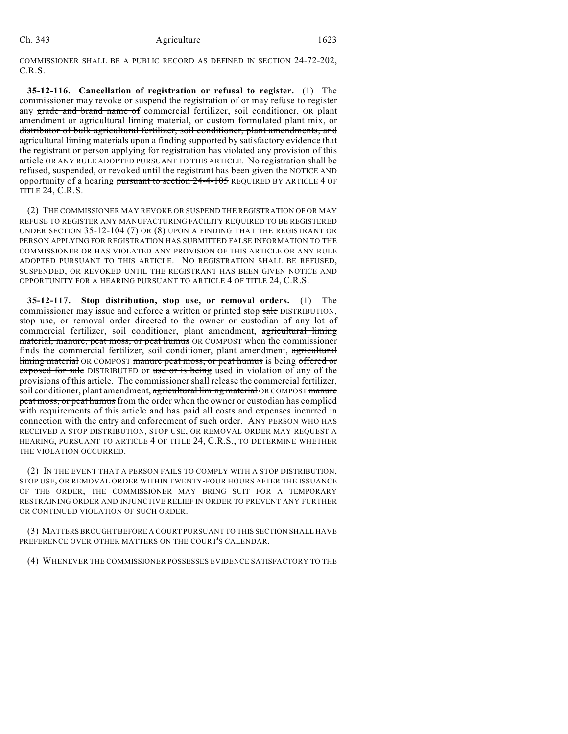COMMISSIONER SHALL BE A PUBLIC RECORD AS DEFINED IN SECTION 24-72-202, C.R.S.

**35-12-116. Cancellation of registration or refusal to register.** (1) The commissioner may revoke or suspend the registration of or may refuse to register any grade and brand name of commercial fertilizer, soil conditioner, OR plant amendment or agricultural liming material, or custom formulated plant mix, or distributor of bulk agricultural fertilizer, soil conditioner, plant amendments, and agricultural liming materials upon a finding supported by satisfactory evidence that the registrant or person applying for registration has violated any provision of this article OR ANY RULE ADOPTED PURSUANT TO THIS ARTICLE. No registration shall be refused, suspended, or revoked until the registrant has been given the NOTICE AND opportunity of a hearing pursuant to section 24-4-105 REQUIRED BY ARTICLE 4 OF TITLE 24, C.R.S.

(2) THE COMMISSIONER MAY REVOKE OR SUSPEND THE REGISTRATION OF OR MAY REFUSE TO REGISTER ANY MANUFACTURING FACILITY REQUIRED TO BE REGISTERED UNDER SECTION 35-12-104 (7) OR (8) UPON A FINDING THAT THE REGISTRANT OR PERSON APPLYING FOR REGISTRATION HAS SUBMITTED FALSE INFORMATION TO THE COMMISSIONER OR HAS VIOLATED ANY PROVISION OF THIS ARTICLE OR ANY RULE ADOPTED PURSUANT TO THIS ARTICLE. NO REGISTRATION SHALL BE REFUSED, SUSPENDED, OR REVOKED UNTIL THE REGISTRANT HAS BEEN GIVEN NOTICE AND OPPORTUNITY FOR A HEARING PURSUANT TO ARTICLE 4 OF TITLE 24, C.R.S.

**35-12-117. Stop distribution, stop use, or removal orders.** (1) The commissioner may issue and enforce a written or printed stop sale DISTRIBUTION, stop use, or removal order directed to the owner or custodian of any lot of commercial fertilizer, soil conditioner, plant amendment, agricultural liming material, manure, peat moss, or peat humus OR COMPOST when the commissioner finds the commercial fertilizer, soil conditioner, plant amendment, agricultural liming material OR COMPOST manure peat moss, or peat humus is being offered or exposed for sale DISTRIBUTED or use or is being used in violation of any of the provisions of this article. The commissioner shall release the commercial fertilizer, soil conditioner, plant amendment, agricultural liming material OR COMPOST manure peat moss, or peat humus from the order when the owner or custodian has complied with requirements of this article and has paid all costs and expenses incurred in connection with the entry and enforcement of such order. ANY PERSON WHO HAS RECEIVED A STOP DISTRIBUTION, STOP USE, OR REMOVAL ORDER MAY REQUEST A HEARING, PURSUANT TO ARTICLE 4 OF TITLE 24, C.R.S., TO DETERMINE WHETHER THE VIOLATION OCCURRED.

(2) IN THE EVENT THAT A PERSON FAILS TO COMPLY WITH A STOP DISTRIBUTION, STOP USE, OR REMOVAL ORDER WITHIN TWENTY-FOUR HOURS AFTER THE ISSUANCE OF THE ORDER, THE COMMISSIONER MAY BRING SUIT FOR A TEMPORARY RESTRAINING ORDER AND INJUNCTIVE RELIEF IN ORDER TO PREVENT ANY FURTHER OR CONTINUED VIOLATION OF SUCH ORDER.

(3) MATTERS BROUGHT BEFORE A COURT PURSUANT TO THIS SECTION SHALL HAVE PREFERENCE OVER OTHER MATTERS ON THE COURT'S CALENDAR.

(4) WHENEVER THE COMMISSIONER POSSESSES EVIDENCE SATISFACTORY TO THE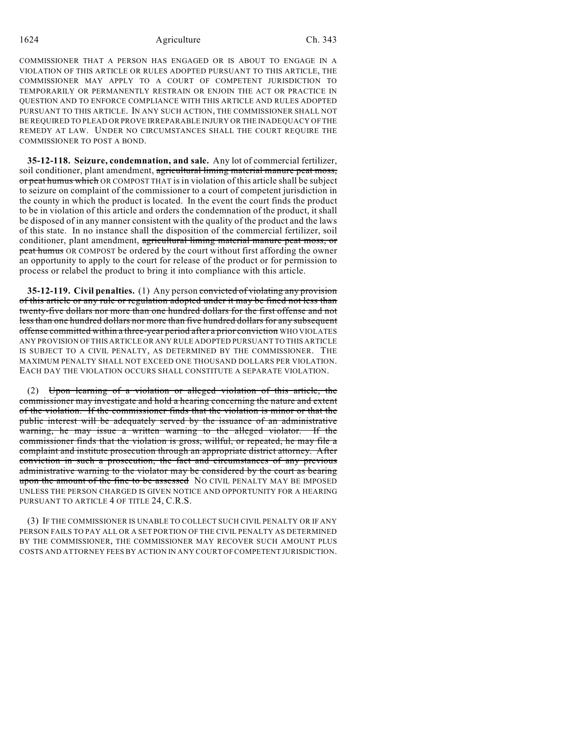COMMISSIONER THAT A PERSON HAS ENGAGED OR IS ABOUT TO ENGAGE IN A VIOLATION OF THIS ARTICLE OR RULES ADOPTED PURSUANT TO THIS ARTICLE, THE COMMISSIONER MAY APPLY TO A COURT OF COMPETENT JURISDICTION TO TEMPORARILY OR PERMANENTLY RESTRAIN OR ENJOIN THE ACT OR PRACTICE IN QUESTION AND TO ENFORCE COMPLIANCE WITH THIS ARTICLE AND RULES ADOPTED PURSUANT TO THIS ARTICLE. IN ANY SUCH ACTION, THE COMMISSIONER SHALL NOT BE REQUIRED TO PLEAD OR PROVE IRREPARABLE INJURY OR THE INADEQUACY OF THE REMEDY AT LAW. UNDER NO CIRCUMSTANCES SHALL THE COURT REQUIRE THE COMMISSIONER TO POST A BOND.

**35-12-118. Seizure, condemnation, and sale.** Any lot of commercial fertilizer, soil conditioner, plant amendment, agricultural liming material manure peat moss, or peat humus which OR COMPOST THAT is in violation of this article shall be subject to seizure on complaint of the commissioner to a court of competent jurisdiction in the county in which the product is located. In the event the court finds the product to be in violation of this article and orders the condemnation of the product, it shall be disposed of in any manner consistent with the quality of the product and the laws of this state. In no instance shall the disposition of the commercial fertilizer, soil conditioner, plant amendment, agricultural liming material manure peat moss, or peat humus OR COMPOST be ordered by the court without first affording the owner an opportunity to apply to the court for release of the product or for permission to process or relabel the product to bring it into compliance with this article.

**35-12-119. Civil penalties.** (1) Any person convicted of violating any provision of this article or any rule or regulation adopted under it may be fined not less than twenty-five dollars nor more than one hundred dollars for the first offense and not less than one hundred dollars nor more than five hundred dollars for any subsequent offense committed within a three-year period after a prior conviction WHO VIOLATES ANY PROVISION OF THIS ARTICLE OR ANY RULE ADOPTED PURSUANT TO THIS ARTICLE IS SUBJECT TO A CIVIL PENALTY, AS DETERMINED BY THE COMMISSIONER. THE MAXIMUM PENALTY SHALL NOT EXCEED ONE THOUSAND DOLLARS PER VIOLATION. EACH DAY THE VIOLATION OCCURS SHALL CONSTITUTE A SEPARATE VIOLATION.

(2) Upon learning of a violation or alleged violation of this article, the commissioner may investigate and hold a hearing concerning the nature and extent of the violation. If the commissioner finds that the violation is minor or that the public interest will be adequately served by the issuance of an administrative warning, he may issue a written warning to the alleged violator. If the commissioner finds that the violation is gross, willful, or repeated, he may file a complaint and institute prosecution through an appropriate district attorney. After conviction in such a prosecution, the fact and circumstances of any previous administrative warning to the violator may be considered by the court as bearing upon the amount of the fine to be assessed NO CIVIL PENALTY MAY BE IMPOSED UNLESS THE PERSON CHARGED IS GIVEN NOTICE AND OPPORTUNITY FOR A HEARING PURSUANT TO ARTICLE 4 OF TITLE 24, C.R.S.

(3) IF THE COMMISSIONER IS UNABLE TO COLLECT SUCH CIVIL PENALTY OR IF ANY PERSON FAILS TO PAY ALL OR A SET PORTION OF THE CIVIL PENALTY AS DETERMINED BY THE COMMISSIONER, THE COMMISSIONER MAY RECOVER SUCH AMOUNT PLUS COSTS AND ATTORNEY FEES BY ACTION IN ANY COURT OF COMPETENT JURISDICTION.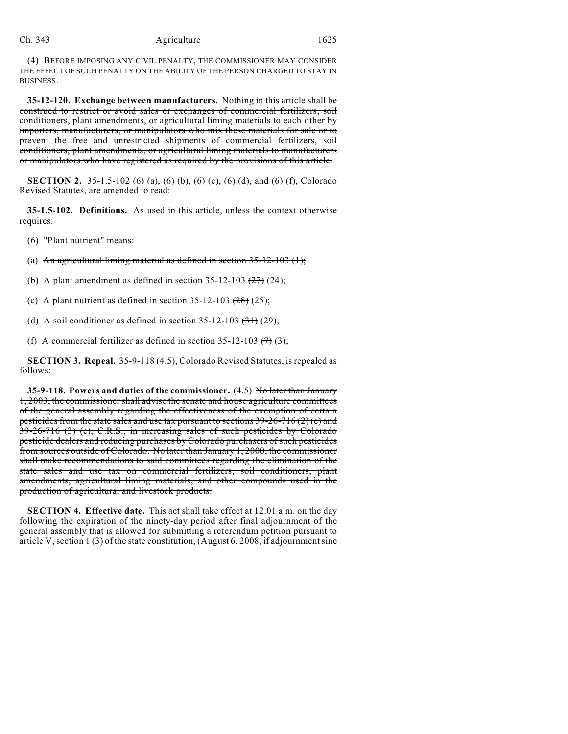## Ch. 343 Agriculture 1625

(4) BEFORE IMPOSING ANY CIVIL PENALTY, THE COMMISSIONER MAY CONSIDER THE EFFECT OF SUCH PENALTY ON THE ABILITY OF THE PERSON CHARGED TO STAY IN BUSINESS.

**35-12-120. Exchange between manufacturers.** Nothing in this article shall be construed to restrict or avoid sales or exchanges of commercial fertilizers, soil conditioners, plant amendments, or agricultural liming materials to each other by importers, manufacturers, or manipulators who mix these materials for sale or to prevent the free and unrestricted shipments of commercial fertilizers, soil conditioners, plant amendments, or agricultural liming materials to manufacturers or manipulators who have registered as required by the provisions of this article.

**SECTION 2.** 35-1.5-102 (6) (a), (6) (b), (6) (c), (6) (d), and (6) (f), Colorado Revised Statutes, are amended to read:

**35-1.5-102. Definitions.** As used in this article, unless the context otherwise requires:

(6) "Plant nutrient" means:

(a) An agricultural liming material as defined in section  $35-12-103$  (1);

(b) A plant amendment as defined in section  $35-12-103$   $(27)$   $(24)$ ;

(c) A plant nutrient as defined in section  $35-12-103$   $(28)$   $(25)$ ;

(d) A soil conditioner as defined in section  $35-12-103$   $(31)$  (29);

(f) A commercial fertilizer as defined in section 35-12-103  $(7)(3)$ ;

**SECTION 3. Repeal.** 35-9-118 (4.5), Colorado Revised Statutes, is repealed as follows:

**35-9-118. Powers and duties of the commissioner.** (4.5) No later than January 1, 2003, the commissioner shall advise the senate and house agriculture committees of the general assembly regarding the effectiveness of the exemption of certain pesticides from the state sales and use tax pursuant to sections  $39-26-716(2)$  (e) and 39-26-716 (3) (e), C.R.S., in increasing sales of such pesticides by Colorado pesticide dealers and reducing purchases by Colorado purchasers of such pesticides from sources outside of Colorado. No later than January 1, 2000, the commissioner shall make recommendations to said committees regarding the elimination of the state sales and use tax on commercial fertilizers, soil conditioners, plant amendments, agricultural liming materials, and other compounds used in the production of agricultural and livestock products.

**SECTION 4. Effective date.** This act shall take effect at 12:01 a.m. on the day following the expiration of the ninety-day period after final adjournment of the general assembly that is allowed for submitting a referendum petition pursuant to article V, section 1 (3) of the state constitution, (August 6, 2008, if adjournment sine